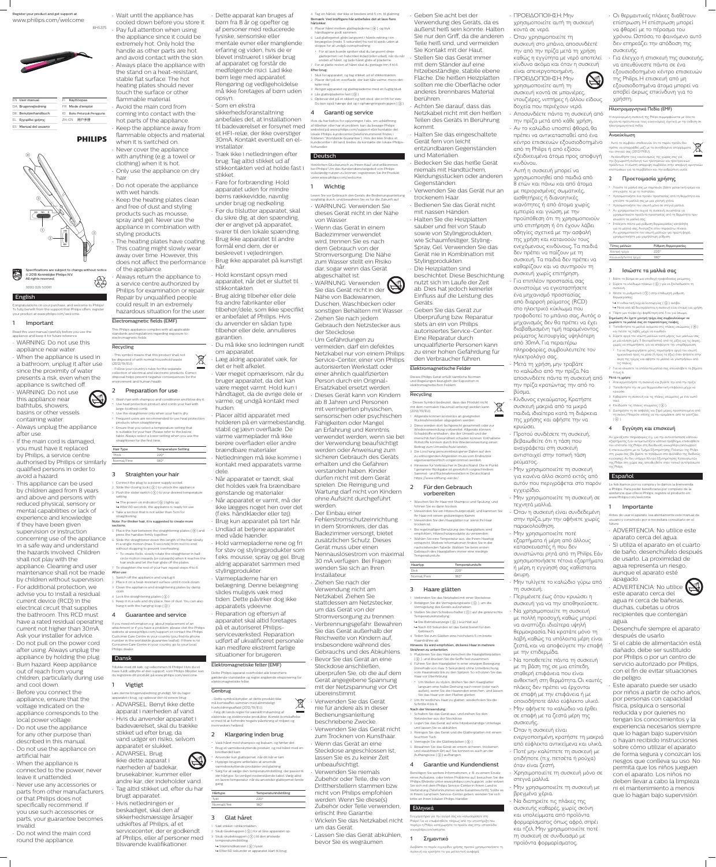### English

Congratulations on your purchase, and welcome to Philips! To fully benefit from the support that Philips offers, register your product at www.philips.com/welcome.

### **Important**

Read this user manual carefully before you use the appliance and keep it for future reference. • WARNING: Do not use this

appliance near water. • When the appliance is used in a bathroom, unplug it after use since the proximity of water presents a risk, even when the appliance is switched off.

• WARNING: Do not use this appliance near bathtubs, showers, basins or other vessels containing water.

• Always unplug the appliance after use. • If the main cord is damaged, you must have it replaced by Philips, a service centre authorised by Philips or similarly qualified persons in order to avoid a hazard.

• This appliance can be used by children aged from 8 years and above and persons with reduced physical, sensory or mental capabilities or lack of experience and knowledge if they have been given supervision or instruction concerning use of the appliance in a safe way and understand the hazards involved. Children shall not play with the appliance. Cleaning and user maintenance shall not be made by children without supervision. • For additional protection, we advise you to install a residual current device (RCD) in the electrical circuit that supplies the bathroom. This RCD must have a rated residual operating current not higher than 30mA. Ask your installer for advice. • Do not pull on the power cord after using. Always unplug the appliance by holding the plug. • Burn hazard. Keep appliance out of reach from young children, particularly during use

and cool down. • Before you connect the appliance, ensure that the voltage indicated on the appliance corresponds to the local power voltage.

• Do not use the appliance for any other purpose than described in this manual. • Do not use the appliance on

artificial hair. • When the appliance is

connected to the power, never leave it unattended.

• Never use any accessories or parts from other manufacturers or that Philips does not specifically recommend. If you use such accessories or parts, your guarantee becomes invalid.

• Do not wind the main cord round the appliance.

• Ensure that you select a temperature setting that is suitable for your hair. Please refer to the below table. Always select a lower setting when you use the straightener for the first time

Register your product and get support at www.philips.com/welcome



BHS375

Hair Type Temperature Setting Thick 220° Normal/Fine 180°

| <b>EN User manual</b> | Käyttöopas<br>H               |
|-----------------------|-------------------------------|
| DA Brugervejledning   | FR Mode d'emploi              |
| DE Benutzerhandbuch   | Buku Petunjuk Pengguna<br>II) |
| EL Εγχειρίδιο χρήσης  | 用户手册<br>7H-CN                 |
| FS Manual del usuario |                               |
|                       |                               |

# **PHILIPS**

• Wait until the appliance has cooled down before you store it. • Pay full attention when using the appliance since it could be extremely hot. Only hold the handle as other parts are hot and avoid contact with the skin. • Always place the appliance with the stand on a heat-resistant, stable flat surface. The hot heating plates should never touch the surface or other flammable material. • Avoid the main cord from coming into contact with the hot parts of the appliance. • Keep the appliance away from flammable objects and material when it is switched on.

Switch off the appliance and unplug it. 2 Place it on a heat-resistant surface until it cools down.

hair.

with wet hands. • Keep the heating plates clean and free of dust and styling products such as mousse, spray and gel. Never use the appliance in combination with styling products. • The heating plates have coating.

This coating might slowly wear away over time. However, this does not affect the performance of the appliance.

tilsvarende kvalifikationer. » Efter 60 sekunder er apparatet klart til brug. Διαβάστε το παρόν εγχειρίδιο χρήσης προτού χρησιμοποιήσετε τη ήστε το για με

 $\boxtimes$ **Contract** 

• Always return the appliance to a service centre authorized by Philips for examination or repair. Repair by unqualified people could result in an extremely hazardous situation for the user.

### Electromagnetic fields (EMF)

This Philips appliance complies with all applicable standards and regulations regarding exposure to electromagnetic fields.

Recycling - This symbol means that this product shall not be disposed of with normal household waste (2012/19/EU). - Follow your country's rules for the separate collection of electrical and electronic products. Correct disposal helps prevent negative consequences for the environment and human health.

# 2 Preparation for use

• Wash hair with shampoo and conditioner and blow dry it. • Use heat protection product and comb your hair with large-toothed comb.

• Use the straightener only when your hair is dry. • Frequent users are recommended to use heat protection products when straightening.

## 3 Straighten your hair

1 Connect the plug to a power supply socket. 2 Slide the closing lock  $(2)$  to unlock the appliance. 3 Push the slider switch  $($   $($   $)$  to your desired temperature

setting.  $\rightarrow$  The power-on indicator ( $\circ$ ) lights up.  $\rightarrow$  After 60 seconds, the appliance is ready for use. 4 Take a section that is not wider than 5cm for

straightening. Note: For thicker hair, it is suggested to create more

sections. 5 Place the hair between the straightening plates ( $\left(\overline{4}\right)$ ) and press the handles firmly together 6 Slide the straightener down the length of the hair slowly

> 1 Sæt stikket i stikkontakten. 2 Skub låseknappen  $(2)$  for at låse apparatet op. Skub skydeknappen (1) til den ønskede

in a single motion (max. 5 seconds) from root to end, without stopping to prevent overheating. • To create flicks, slowly rotate the straightener in halfcircle motion inwards (or outwards) when it reaches the

> temperaturindstilling.  $\mapsto$  Strømindikatoren ( $\circledS$ ) lyser.

• Never cover the appliance with anything (e.g. a towel or clothing) when it is hot. • Only use the appliance on dry • Do not operate the appliance • Fare for forbrænding. Hold

hair ends and let the hair glide off the plates. 7 To straighten the rest of your hair, repeat steps 4 to 6. After use:

3 Clean the appliance and straightening plates by damp cloth.

4 Lock the straightening plates  $(2)$ ). 5 Keep it in a safe and dry place, free of dust. You can also hang it with the hanging loop  $(Q)$ ).

### 4 Guarantee and service

If you need information e.g. about replacement of an attachment or if you have a problem, please visit the Philips website at www.philips.com/support or contact the Philips Customer Care Centre in your country (you find its phone number in the worldwide guarantee leaflet). If there is no Consumer Care Centre in your country, go to your local Philips dealer.

## Dansk

Tillykke med dit køb, og velkommen til Philips! Hvis du vil have fuldt udbytte af den support, som Philips tilbyder, kan du registrere dit produkt på www.philips.com/welcome.

## 1 Vigtigt

Læs denne brugervejledning grundigt, før du tager apparatet i brug, og opbevar den til senere brug. • ADVARSEL: Benyt ikke dette apparat i nærheden af vand. • Hvis du anvender apparatet i badeværelset, skal du trække stikket ud efter brug, da vand udgør en risiko, selvom apparatet er slukket.



nærheden af badekar, brusekabiner, kummer eller andre kar, der indeholder vand. • Tag altid stikket ud, efter du har brugt apparatet. • Hvis netledningen er beskadiget, skal den af sikkerhedsmæssige årsager udskiftes af Philips, af et servicecenter, der er godkendt

af Philips, eller af personer med

• Dette apparat kan bruges af børn fra 8 år og opefter og af personer med reducerede fysiske, sensoriske eller mentale evner eller manglende erfaring og viden, hvis de er blevet instrueret i sikker brug af apparatet og forstår de medfølgende risici. Lad ikke børn lege med apparatet. Rengøring og vedligeholdelse må ikke foretages af børn uden opsyn.

• Som en ekstra

sikkerhedsforanstaltning anbefales det, at installationen til badeværelset er forsynet med et HFI-relæ, der ikke overstiger 30mA. Kontakt eventuelt en elinstallatør. • Træk ikke i netledningen efter

brug. Tag altid stikket ud af

stikkontakten ved at holde fast i

stikket.

apparatet uden for mindre børns rækkevidde, navnlig under brug og nedkøling. • Før du tilslutter apparatet, skal du sikre dig, at den spænding, der er angivet på apparatet, svarer til den lokale spænding. • Brug ikke apparatet til andre formål end dem, der er beskrevet i vejledningen. • Brug ikke apparatet på kunstigt hår. • Hold konstant opsyn med apparatet, når det er sluttet til

stikkontakten. • Brug aldrig tilbehør eller dele fra andre fabrikanter eller tilbehør/dele, som ikke specifikt er anbefalet af Philips. Hvis du anvender en sådan type tilbehør eller dele, annulleres garantien. • Du må ikke sno ledningen rundt

om apparatet.  $\boxtimes$ • Læg aldrig apparatet væk, før det er helt afkølet. **Contract** • Vær meget opmærksom, når du

bruger apparatet, da det kan være meget varmt. Hold kun i håndtaget, da de øvrige dele er varme, og undgå kontakt med huden.

> Ihr Haar mit einem grobzinkigen Kamm. • Verwenden Sie den Haarglätter nur, wenn Ihr Haa

Diese werden dort fachgerecht gesam

• Placer altid apparatet med holderen på en varmebestandig,

stabil og jævn overflade. De varme varmeplader må ikke berøre overfladen eller andre brændbare materialer.

• Netledningen må ikke komme i kontakt med apparatets varme dele.

• Når apparatet er tændt, skal det holdes væk fra brændbare genstande og materialer.

> $\rightarrow$  Die Betriebsanzeige ( $\circledS$ ) leuchtet auf. » Nach 60 Sekunden ist das Gerät bereit für den

3 Stellen Sie den Schiebeschalter  $($   $($   $)$  auf die gewünschte

Dick 220° Normal/Fein 180°

• Når apparatet er varmt, må der ikke lægges noget hen over det (f.eks. håndklæder eller tøj). • Brug kun apparatet på tørt hår.

• Undlad at betjene apparatet med våde hænder. • Hold varmepladerne rene og fri

for støv og stylingprodukter som f.eks. mousse, spray og gel. Brug aldrig apparatet sammen med stylingprodukter.

• Varmepladerne har en belægning. Denne belægning slides muligvis væk med tiden. Dette påvirker dog ikke apparatets ydeevne. • Reparation og eftersyn af apparatet skal altid foretages på et autoriseret Philipsserviceværksted. Reparation udført af ukvalificeret personale kan medføre ekstremt farlige

# situationer for brugeren.

4 Verriegeln Sie die Glätterplatten  $(Q)$ ). 5 Bewahren Sie das Gerät an einem sicheren, trockenen und staubfreien Ort auf. Sie können es auch an der Aufhängeöse (3) aufhängen. 4 Garantie und Kundendienst Benötigen Sie weitere Informationen, z. B. zu einem Ersatz eines Aufsatzes, oder treten Probleme auf, besuchen Sie die

Elektromagnetiske felter (EMF) Dette Philips-apparat overholder alle branchens gældende standarder og regler angående eksponering for elektromagnetiske felter.

Genbrug - Dette symbol betyder, at dette produkt ikke må bortskaffes sammen med almindeligt husholdningsaffald (2012/19/EU). - Følg dit lands regler for særskilt indsamling af elektriske og elektroniske produkter. Korrekt bortskaffelse er med til at forhindre negativ påvirkning af miljøet og menneskers helbred.

## 2 Klargøring inden brug

Q χρησιμοποιείτε αυτή τη συσκευή κοντά σε μπανιέρες, ντουζιέρες, νιπτήρες ή άλλου είδους

• Vask håret med shampoo og balsam, og føntør det. • Brug et varmebeskyttende produkt, og red håret med en bredtandet kam. • Anvender kun glattejernet, når dit hår er tørt. • Hyppige brugere anbefales at anvende

varmebeskyttende produkter ved glatning. • Sørg for at vælge den temperaturindstilling, der passer til din hårtype. Se venligst nedenstående tabel. Vælg altid en lavere temperatur, når du anvender glattejernet første



# 3 Glat håret

4 Tag en hårlok, der ikke er bredere end 5 cm, til glatning. Bemærk: Ved kraftigere hår anbefales det at lave flere hårlokker.

- 5 Placer håret mellem glattepladerne ( $\overline{4}$ ), og tryk håndtagene godt sammen.
- 6 Lad glattejernet glide langsomt i hårets retning i én bevægelse (maks. 5 sekunder) fra rod til spids uden at stoppe for at undgå overophedning.
- For at lave buede spidser skal du langsomt dreje glattejernet i en halvcirkel indad (eller udad), når du når enden af håret, og lade håret glide af pladerne. 7 For at glatte resten af håret skal du gentage trin 4 til 6.
- Efter brug: 1 Sluk for apparatet, og tag stikket ud af stikkontakten. 2 Placer det på en overflade, der kan tåle varme, mens det
- køler ned. 3 Rengør apparatet og glattepladerne med en fugtig klud. 4 Lås glattepladerne fast  $(2)$ )
- 5 Opbevar det på et sikkert og tørt sted, der er frit for støv. Du kan også hænge det op i ophængningsstroppen (3)

### 4 Garanti og service

Hvis du har behov for oplysninger, f.eks. om udskiftning af tilbehør, eller har et problem, kan du besøge Philips' websted på www.philips.com/support eller kontakte det lokale Philips-kundecenter (telefonnummeret findes i folderen "Worldwide Guarantee"). Hvis der ikke findes et kundecenter i dit land, bedes du kontakte din lokale Philipsforhandler.

### Deutsch

Herzlichen Glückwunsch zu Ihrem Kauf und willkommen bei Philips! Um das Kundendienstangebot von Philips unter www.philips.com/welcome.

vollständig nutzen zu können, registrieren Sie Ihr Produkt

### **Wichtig**

Lesen Sie vor Gebrauch des Geräts die Bedienungsanleitung sorgfältig durch, und bewahren Sie es für die Zukunft auf. • WARNUNG: Verwenden Sie dieses Gerät nicht in der Nähe von Wasser. • Wenn das Gerät in einem

> 3 Θέστε το ρυθμιστικό ( 1) στην επιθυμητή ρύθμιση θερμοκρασίας.

Badezimmer verwendet wird, trennen Sie es nach dem Gebrauch von der Stromversorgung. Die Nähe zum Wasser stellt ein Risiko dar, sogar wenn das Gerät

> → Η ενδεικτική λυχνία λειτουργίας ( ⑤ ) ανάβει. » Μετά από 60 δευτερόλεπτα, η συσκευή είναι έτοιμη για χρήση. 4 Πάρτε μια τούφα όχι φαρδύτερη από 5 εκ. για ίσιωμα.

abgeschaltet ist. • WARNUNG: Verwenden Sie das Gerät nicht in der Nähe von Badewannen,

Duschen, Waschbecken oder sonstigen Behältern mit Wasser. • Ziehen Sie nach jedem Gebrauch den Netzstecker aus der Steckdose.

- Τοποθετήστε τα μαλλιά ανάμεσα στις πλάκες ισιώματος ( $\widehat{\left(4\right)}$ ) και πιέστε τις λαβές μέχρι να ενωθούν. 6 Σύρετε αργά τον ισιωτή μαλλιών κατά μήκος των μαλλιών σας
- με μία κίνηση (μέγ. 5 δευτερόλεπτα) από τις ρίζες ως τις άκρες, χωρίς να σταματήσετε, για να αποφύγετε την υπερθέρμανση. • Για να δημιουργήσετε μύτες, περιστρέψτε αργά τον ισιωτή
- ημικυκλικά προς τα μέσα (ή προς τα έξω) όταν φτάσετε στην άκρη της τρίχας και αφήστε τα μαλλιά να γλιστρήσουν από τις πλάκες.
- 7 Για να ισιώσετε τα υπόλοιπα μαλλιά σας, επαναλάβετε τα βήματα 4 έως 6.

• Um Gefährdungen zu vermeiden, darf ein defektes Netzkabel nur von einem Philips Service-Center, einer von Philips autorisierten Werkstatt oder einer ähnlich qualifizierten Person durch ein Original-Ersatzkabel ersetzt werden. • Dieses Gerät kann von Kindern

ab 8 Jahren und Personen mit verringerten physischen, sensorischen oder psychischen Fähigkeiten oder Mangel

an Erfahrung und Kenntnis verwendet werden, wenn sie bei der Verwendung beaufsichtigt werden oder Anweisung zum sicheren Gebrauch des Geräts erhalten und die Gefahren verstanden haben. Kinder dürfen nicht mit dem Gerät spielen. Die Reinigung und Wartung darf nicht von Kindern ohne Aufsicht durchgeführt werden. • Der Einbau einer Fehlerstromschutzeinrichtung in dem Stromkreis, der das Badezimmer versorgt, bietet zusätzlichen Schutz. Dieses

Gerät muss über einen Nennauslösestrom von maximal 30 mA verfügen. Bei Fragen wenden Sie sich an Ihren Installateur. • Ziehen Sie nach der Verwendung nicht am Netzkabel. Ziehen Sie stattdessen am Netzstecker, um das Gerät von der Stromversorgung zu trennen. • Verbrennungsgefahr. Bewahren Sie das Gerät außerhalb der Reichweite von Kindern auf, insbesondere während des Gebrauchs und des Abkühlens. • Bevor Sie das Gerät an eine Steckdose anschließen, überprüfen Sie, ob die auf dem Gerät angegebene Spannung mit der Netzspannung vor Ort übereinstimmt.

• Verwenden Sie das Gerät nie für andere als in dieser Bedienungsanleitung beschriebene Zwecke. • Verwenden Sie das Gerät nicht zum Trocknen von Kunsthaar. • Wenn das Gerät an eine Steckdose angeschlossen ist, lassen Sie es zu keiner Zeit unbeaufsichtigt. • Verwenden Sie niemals

Zubehör oder Teile, die von Drittherstellern stammen bzw. nicht von Philips empfohlen werden. Wenn Sie diese(s) Zubehör oder Teile verwenden, erlischt Ihre Garantie.

• Wickeln Sie das Netzkabel nicht um das Gerät.

### • Lassen Sie das Gerät abkühlen, bevor Sie es wegräumen.

• Geben Sie acht bei der Verwendung des Geräts, da es äußerst heiß sein könnte. Halten Sie nur den Griff, da die anderen Teile heiß sind, und vermeiden Sie Kontakt mit der Haut. • Stellen Sie das Gerät immer mit dem Ständer auf eine hitzebeständige, stabile ebene Fläche. Die heißen Heizplatten sollten nie die Oberfläche oder anderes brennbares Material berühren.

• Achten Sie darauf, dass das Netzkabel nicht mit den heißen Teilen des Geräts in Berührung kommt.

• Halten Sie das eingeschaltete Gerät fern von leicht entzündbaren Gegenständen und Materialien. • Bedecken Sie das heiße Gerät

niemals mit Handtüchern, Kleidungsstücken oder anderen Gegenständen. • Verwenden Sie das Gerät nur an trockenem Haar. • Bedienen Sie das Gerät nicht mit nassen Händen. • Halten Sie die Heizplatten sauber und frei von Staub

sowie von Stylingprodukten, wie Schaumfestiger, Styling-Spray, Gel. Verwenden Sie das Gerät nie in Kombination mit Stylingprodukten. • Die Heizplatten sind

beschichtet. Diese Beschichtung nutzt sich im Laufe der Zeit ab. Dies hat jedoch keinerlei Einfluss auf die Leistung des Geräts.

• Geben Sie das Gerät zur Überprüfung bzw. Reparatur stets an ein von Philips autorisiertes Service-Center. Eine Reparatur durch unqualifizierte Personen kann zu einer hohen Gefährdung für den Verbraucher führen.

### Elektromagnetische Felder

Dieses Philips Gerät erfüllt sämtliche Normen und Regelungen bezüglich der Exposition in elektromagnetischen Feldern.

### Recycling

- Dieses Symbol bedeutet, dass das Produkt nicht mit dem normalen Hausmüll entsorgt werden kann (2012/19/EU).

1 Altgeräte können kostenlos an geeigneten Rücknahmestellen abgegeben werden.

Wiederverwendung vorbereitet. Altgeräte können Schadstoffe enthalten, die der Umwelt und der menschlichen Gesundheit schaden können. Enthaltene Rohstoffe können durch ihre Wiederverwertung einen

Beitrag zum Umweltschutz leisten.

3 Die Löschung personenbezogener Daten auf den zu entsorgenden Altgeräten muss vom Endnutzer eigenverantwortlich vorgenommen werde 4 Hinweise für Verbraucher in Deutschland: Die in Punkt 1 genannte Rückgabe ist gesetzlich vorgeschrieben. Sammel- und Rücknahmestellen in Deutschland:

https://www.stiftung-ear.de/

2 Für den Gebrauch vorbereiten

• Waschen Sie Ihr Haar mit Shampoo und Spülung, und

föhnen Sie es dann trocken.

trocken ist.

• Bei regelmäßiger Benutzung des Haarglätters wird empfohlen, Hitzeschutzprodukte zu verwenden. • Wählen Sie eine Temperatur aus, die Ihrem Haartyp entspricht. Weitere Informationen finden Sie in der nachstehenden Tabelle. Wählen Sie beim ersten Gebrauch des Haarglätters immer eine niedrige

Temperaturstufe.

Haartyp Temperaturstufe

3 Haare glätten

1 Verbinden Sie das Netzkabel mit einer Steckdose. 2 Betätigen Sie die Verriegelungstaste  $(2)$ ), um die Verriegelung des Geräts aufzuheben.

Temperatureinstellung .

Gebrauch.

4 Teilen Sie zum Glätten eine höchstens 5 cm breite

Haarsträhne ab.

Hinweis: Es wird empfohlen, dickeres Haar in mehrere

Strähnen zu unterteilen.

5 Platzieren Sie das Haar zwischen die Haarglätterplatten ( d ), und drücken Sie die Griffe fest zusammen. 6 Führen Sie den Haarglätter in einer einzigen Bewegung (innerhalb von max. 5 Sekunden) ohne Unterbrechung vom Haaransatz bis zu den Spitzen. So schützen Sie das

Haar vor Überhitzung.

• Um Wellen zu stylen, drehen Sie den Haarglätter langsam eine halbe Drehung nach innen (oder nach außen), wenn Sie die Haarenden erreichen, und lassen

Sie das Haar von den Platten gleiten. 7 Um Ihr restliches Haar zu glätten, wiederholen Sie die

Schritte 4 bis 6. Nach der Verwendung:

1 Schalten Sie das Gerät aus, und ziehen Sie den

Netzstecker aus der Steckdose.

2 Legen Sie das Gerät auf eine hitzebeständige Unterlage,

und lassen Sie es abkühlen.

3 Reinigen Sie das Gerät und die Glätterplatten mit einem

feuchten Tuch.

Philips Website unter www.philips.com/support, oder setzen Sie sich mit dem Philips Service-Center in Ihrem Land in Verbindung (Telefonnummer siehe Garantieschrift). Sollte es in Ihrem Land kein Service-Center geben, wenden Sie sich bitte an Ihren lokalen Philips Händler.

Σημαντικό

## Ελληνικά

• Verwenden Sie ein Hitzeschutzprodukt, und kämmen Sie • Όταν η συσκευή είναι συνδεδεμένη στην πρίζα, μην την αφήνετε χωρίς παρακολούθηση.

Συγχαρητήρια για την αγορά σας και καλωσορίσατε στη Philips! Για να επωφεληθείτε πλήρως από την υποστήριξη που παρέχει η Philips, καταχωρήστε το προϊόν σας στην ιστοσελίδα www.philips.com/welcome.

• ΠΡΟΕΙΔΟΠΟΙΗΣΗ: Μην χρησιμοποιείτε αυτή τη συσκευή κοντά σε νερό.

• Όταν χρησιμοποιείτε τη συσκευή στο μπάνιο, αποσυνδέετέ την από την πρίζα μετά τη χρήση καθώς η εγγύτητα με νερό αποτελεί κίνδυνο ακόμα και όταν η συσκευή είναι απενεργοποιημένη. • ΠΡΟΕΙΔΟΠΟΙΗΣΗ: Μην

δοχεία που περιέχουν νερό. • Αποσυνδέετε πάντα τη συσκευή από την πρίζα μετά από κάθε χρήση. • Αν το καλώδιο υποστεί φθορά, θα πρέπει να αντικατασταθεί από ένα

κέντρο επισκευών εξουσιοδοτημένο από τη Philips ή από εξίσου εξειδικευμένα άτομα προς αποφυγή κινδύνου.

• Αυτή η συσκευή μπορεί να χρησιμοποιηθεί από παιδιά από 8 ετών και πάνω και από άτομα με περιορισμένες σωματικές, αισθητήριες ή διανοητικές ικανότητες ή από άτομα χωρίς εμπειρία και γνώση, με την προϋπόθεση ότι τη χρησιμοποιούν υπό επιτήρηση ή ότι έχουν λάβει οδηγίες σχετικά με την ασφαλή της χρήση και κατανοούν τους ενεχόμενους κινδύνους. Τα παιδιά δεν πρέπει να παίζουν με τη συσκευή. Τα παιδιά δεν πρέπει να καθαρίζουν και να συντηρούν τη συσκευή χωρίς επιτήρηση. • Για επιπλέον προστασία, σας

συνιστούμε να εγκαταστήσετε ένα μηχανισμό προστασίας από διαρροή ρεύματος (RCD) στο ηλεκτρικό κύκλωμα που τροφοδοτεί το μπάνιο σας. Αυτός ο μηχανισμός δεν θα πρέπει να έχει διαβαθμισμένη τιμή παραμένοντος ρεύματος λειτουργίας υψηλότερη από 30mA. Για περαιτέρω πληροφορίες, συμβουλευτείτε τον

ηλεκτρολόγο σας. • Μετά τη χρήση, μην τραβάτε το καλώδιο από την πρίζα. Να αποσυνδέετε πάντα τη συσκευή από την πρίζα κρατώντας την από το βύσμα.

• Κίνδυνος εγκαύματος. Κρατήστε συσκευή μακριά από τα μικρά παιδιά, ιδιαίτερα κατά τη διάρκεια της χρήσης και αφήστε την να

### κρυώσει. • Προτού συνδέσετε τη συσκευή,

βεβαιωθείτε ότι η τάση που αναγράφεται στη συσκευή αντιστοιχεί στην τοπική τάση ρεύματος.

• Μην χρησιμοποιείτε τη συσκευή για κανένα άλλο σκοπό εκτός από αυτόν που περιγράφεται στο παρόν εγχειρίδιο.

• Μην χρησιμοποιείτε τη συσκευή σε τεχνητά μαλλιά.

• Μην χρησιμοποιείτε ποτέ εξαρτήματα ή μέρη από άλλους κατασκευαστές ή που δεν συνιστώνται ρητά από τη Philips. Εάν

χρησιμοποιήσετε τέτοια εξαρτήματα ή μέρη, η εγγύησή σας καθίσταται άκυρη.

• Μην τυλίγετε το καλώδιο γύρω από τη συσκευή.

• Περιμένετε έως ότου κρυώσει η συσκευή για να την αποθηκεύσετε. • Να χρησιμοποιείτε τη συσκευή με πολλή προσοχή, καθώς μπορεί να αναπτύξει ιδιαίτερα υψηλή θερμοκρασία. Να κρατάτε μόνο τη λαβή, καθώς τα υπόλοιπα μέρη είναι

ζεστά, και να αποφεύγετε την επαφή με την επιδερμίδα. • Να τοποθετείτε πάντα τη συσκευή

με τη βάση της σε μια επίπεδη, σταθερή επιφάνεια που είναι ανθεκτική στη θερμότητα. Οι καυτές πλάκες δεν πρέπει να έρχονται σε επαφή με την επιφάνεια ή με οποιοδήποτε άλλο εύφλεκτο υλικό. • Μην αφήνετε το καλώδιο να έρθει σε επαφή με τα ζεστά μέρη της

συσκευής. • Όταν η συσκευή είναι ενεργοποιημένη, κρατήστε τη μακριά

από εύφλεκτα αντικείμενα και υλικά. • Ποτέ μην καλύπτετε τη συσκευή με οτιδήποτε (π.χ. πετσέτα ή ρούχα)

όταν είναι ζεστή. • Χρησιμοποιείτε τη συσκευή μόνο σε

στεγνά μαλλιά. • Μην χρησιμοποιείτε τη συσκευή με

βρεγμένα χέρια. • Να διατηρείτε τις πλάκες της συσκευής καθαρές, χωρίς σκόνη και υπολείμματα από προϊόντα φορμαρίσματος όπως αφρό, σπρέι και τζελ. Μην χρησιμοποιείτε ποτέ τη συσκευή σε συνδυασμό με προϊόντα φορμαρίσματος.

## Εγγύηση και επισκευή

4 Κλειδώστε τις πλάκες ισιώματος ((2)).

• Οι θερμαντικές πλάκες διαθέτουν επίστρωση. Η επίστρωση μπορεί να φθαρεί με το πέρασμα του χρόνου. Ωστόσο, το φαινόμενο αυτό δεν επηρεάζει την απόδοση της συσκευής.

• Για έλεγχο ή επισκευή της συσκευής, να απευθύνεστε πάντα σε ένα εξουσιοδοτημένο κέντρο επισκευών της Philips. Η επισκευή από μη εξουσιοδοτημένα άτομα μπορεί να αποβεί άκρως επικίνδυνη για το χρήστη.

### Ηλεκτρομαγνητικά Πεδία (EMF)

Η συγκεκριμένη συσκευή της Philips συμμορφώνεται με όλα τα ισχύοντα πρότυπα και τους κανονισμούς σχετικά με την έκθεση σε ηλεκτρομαγνητικά πεδία.

### Ανακύκλωση

- Αυτό το σύμβολο υποδεικνύει ότι το παρόν προϊόν δεν  $\widehat{\boxtimes}$ πρέπει να απορριφθεί μαζί με τα συνηθισμένα απορρίμματα του σπιτιού σας (2012/19/EU). - Ακολουθήστε τους κανονισμούς της χώρας σας για την ξεχωριστή συλλογή των ηλεκτρικών και ηλεκτρονικών

προϊόντων. Η σωστή απόρριψη συμβάλλει στην αποφυγή αρνητικών επιπτώσεων για το περιβάλλον και την ανθρώπινη υγεία.

### 2 Προετοιμασία χρήσης

- Λούστε τα μαλλιά σας με σαμπουάν, βάλτε μαλακτική κρέμα και στεγνώστε τα με το πιστολάκι.
- Χρησιμοποιήστε ένα προϊόν προστασίας από τη θερμότητα και χτενίστε τα μαλλιά σας με μια χοντρή χτένα. • Χρησιμοποιήστε τον ισιωτή μόνο σε στεγνά μαλλιά.
- Αν χρησιμοποιείτε συχνά τη συσκευή, συνιστάται να
- χρησιμοποιείτε προϊόντα προστασίας από τη θερμότητα πριν ισιώσετε τα μαλλιά σας. • Επιλέγετε πάντα μια ρύθμιση θερμοκρασίας κατάλληλη
- για τα μαλλιά σας. Ανατρέξτε στον παρακάτω πίνακα. Αν χρησιμοποιείτε τον ισιωτή μαλλιών για πρώτη φορά, χρησιμοποιήστε μια χαμηλότερη ρύθμιση.

| Τύπος μαλλιών        | Ρύθμιση θερμοκρασίας |
|----------------------|----------------------|
| Χοντρή τρίχα         | $220^\circ$          |
| Κανονική/Λεπτή τρίχα | $180^\circ$          |

### 3 Ισιώστε τα μαλλιά σας

1 Βάλτε το βύσμα σε μια υποδοχή τροφοδοσίας ρεύματος. 2 Σύρετε το κλείδωμα πλακών (2) για να ξεκλειδώσετε τη συσκευή.

### Σημείωση: Αν έχετε χοντρή τρίχα, σας συμβουλεύουμε να χωρίσετε τα μαλλιά σας σε περισσότερες τούφες.

### Μετά τη χρήση: 1 Απενεργοποιήστε τη συσκευή και βγάλτε την από την πρίζα.

2 Τοποθετήστε την σε μια θερμοανθεκτική επιφάνεια μέχρι να

κρυώσει.

3 Καθαρίστε τη συσκευή και τις πλάκες ισιώματος με ένα νωπό

πανί.

 $($  (3)  $).$ 

5 Διατηρήστε τη σε ασφαλές και ξηρό μέρος, προστατευμένο από τη σκόνη. Μπορείτε επίσης να την κρεμάσετε από το γαντζάκι

Αν χρειάζεστε πληροφορίες π.χ. για την αντικατάσταση κάποιου εξαρτήματος ή αν αντιμετωπίζετε κάποιο πρόβλημα, επισκεφθείτε τον ιστότοπο της Philips στη διεύθυνση www.philips.com/support ή επικοινωνήστε με το Τμήμα Εξυπηρέτησης Πελατών της Philips στη χώρα σας (θα βρείτε το τηλέφωνο στο φυλλάδιο της διεθνούς εγγύησης). Αν δεν υπάρχει Κέντρο Εξυπηρέτησης Καταναλωτών της Philips στη χώρα σας, απευθυνθείτε στον τοπικό αντιπρόσωπο της Philips.

# Español

Le felicitamos por su compra y le damos la bienvenida a Philips. Para poder beneficiarse por completo de la asistencia que ofrece Philips, registre el producto en www.Philips.com/welcome.

## **Importante**

Antes de usar el aparato, lea atentamente este manual de usuario y consérvelo por si necesitara consultarlo en el futuro.

### • ADVERTENCIA: No utilice este aparato cerca del agua.

• Si utiliza el aparato en el cuarto de baño, desenchúfelo después de usarlo. La proximidad de agua representa un riesgo, aunque el aparato esté



este aparato cerca del agua ni cerca de bañeras, duchas, cubetas u otros recipientes que contengan agua.

• Desenchufe siempre el aparato después de usarlo. • Si el cable de alimentación está dañado, debe ser sustituido por Philips o por un centro de servicio autorizado por Philips, con el fin de evitar situaciones

de peligro. • Este aparato puede ser usado por niños a partir de ocho años, por personas con capacidad física, psíquica o sensorial reducida y por quienes no tengan los conocimientos y la experiencia necesarios siempre que lo hagan bajo supervisión o hayan recibido instrucciones sobre cómo utilizar el aparato de forma segura y conozcan los riesgos que conlleva su uso. No permita que los niños jueguen con el aparato. Los niños no

deben llevar a cabo la limpieza ni el mantenimiento a menos

que lo hagan bajo supervisión.



Specifications are subject to change without notice © 2018 Koninklijke Philips N.V. <br>ଜ∆ All rights reserved.

3000 026 50081